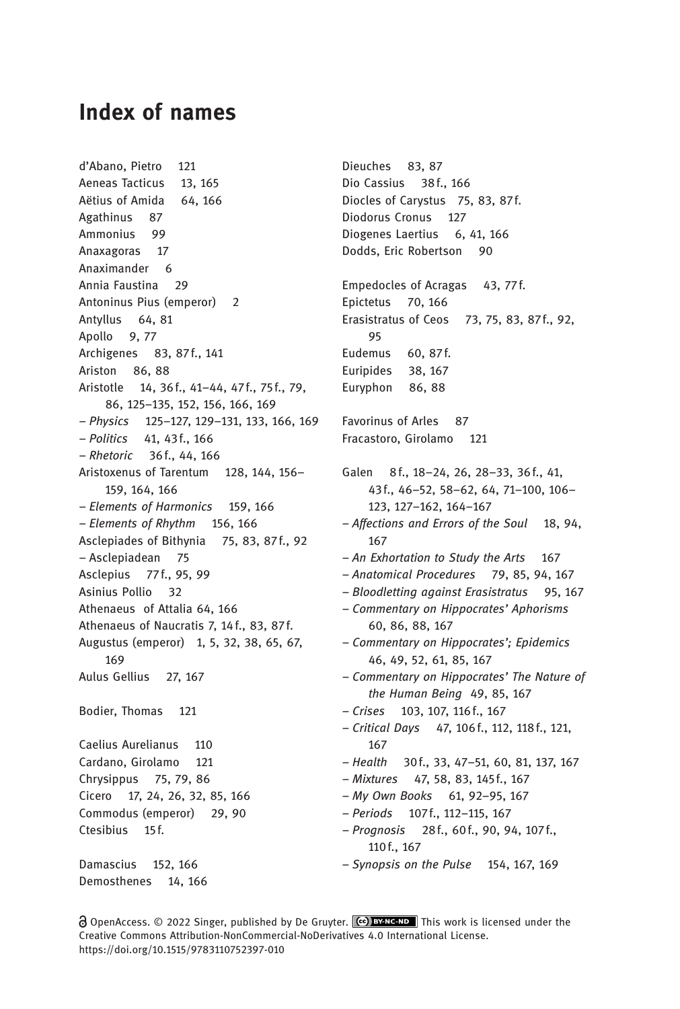## Index of names

d'Abano, Pietro 121 Aeneas Tacticus 13, 165 Aëtius of Amida 64, 166 Agathinus 87 Ammonius 99 Anaxagoras 17 Anaximander 6 Annia Faustina 29 Antoninus Pius (emperor) 2 Antyllus 64, 81 Apollo 9, 77 Archigenes 83, 87f., 141 Ariston 86, 88 Aristotle 14, 36f., 41–44, 47f., 75 f., 79, 86, 125–135, 152, 156, 166, 169 – Physics 125–127, 129–131, 133, 166, 169 – Politics 41, 43f., 166 – Rhetoric 36f., 44, 166 Aristoxenus of Tarentum 128, 144, 156– 159, 164, 166 – Elements of Harmonics 159, 166 – Elements of Rhythm 156, 166 Asclepiades of Bithynia 75, 83, 87f., 92 – Asclepiadean 75 Asclepius 77 f., 95, 99 Asinius Pollio 32 Athenaeus of Attalia 64, 166 Athenaeus of Naucratis 7, 14 f., 83, 87f. Augustus (emperor) 1, 5, 32, 38, 65, 67, 169 Aulus Gellius 27, 167 Bodier, Thomas 121 Caelius Aurelianus 110 Cardano, Girolamo 121 Chrysippus 75, 79, 86 Cicero 17, 24, 26, 32, 85, 166 Commodus (emperor) 29, 90 Ctesibius 15f. Damascius 152, 166 Demosthenes 14, 166

Dieuches 83, 87 Dio Cassius 38 f., 166 Diocles of Carystus 75, 83, 87f. Diodorus Cronus 127 Diogenes Laertius 6, 41, 166 Dodds, Eric Robertson 90 Empedocles of Acragas 43, 77f. Epictetus 70, 166 Erasistratus of Ceos 73, 75, 83, 87f., 92, 95 Eudemus 60, 87f. Euripides 38, 167 Euryphon 86, 88 Favorinus of Arles 87 Fracastoro, Girolamo 121 Galen 8f., 18-24, 26, 28-33, 36f., 41, 43f., 46–52, 58–62, 64, 71–100, 106– 123, 127–162, 164–167 – Affections and Errors of the Soul 18, 94, 167 – An Exhortation to Study the Arts 167 – Anatomical Procedures 79, 85, 94, 167 – Bloodletting against Erasistratus 95, 167 – Commentary on Hippocrates' Aphorisms 60, 86, 88, 167 – Commentary on Hippocrates'; Epidemics 46, 49, 52, 61, 85, 167 – Commentary on Hippocrates' The Nature of the Human Being 49, 85, 167 – Crises 103, 107, 116f., 167 – Critical Days 47, 106f., 112, 118f., 121, 167 – Health 30f., 33, 47–51, 60, 81, 137, 167 – Mixtures 47, 58, 83, 145f., 167 – My Own Books 61, 92–95, 167 – Periods 107f., 112–115, 167 – Prognosis 28f., 60 f., 90, 94, 107f., 110f., 167 – Synopsis on the Pulse 154, 167, 169

**a** OpenAccess. © 2022 Singer, published by De Gruyter. (**CC) BY-NC-ND** This work is licensed under the Creative Commons Attribution-NonCommercial-NoDerivatives 4.0 International License. https://doi.org/10.1515/9783110752397-010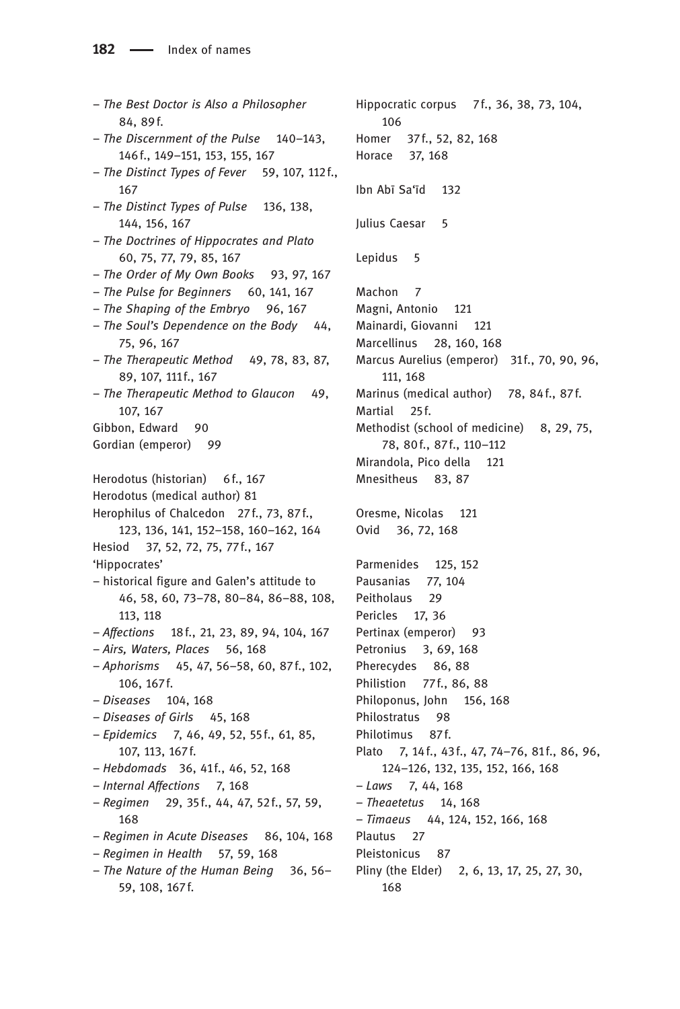– The Best Doctor is Also a Philosopher 84, 89f. – The Discernment of the Pulse 140–143, 146f., 149–151, 153, 155, 167 – The Distinct Types of Fever 59, 107, 112f., 167 – The Distinct Types of Pulse 136, 138, 144, 156, 167 – The Doctrines of Hippocrates and Plato 60, 75, 77, 79, 85, 167 – The Order of My Own Books 93, 97, 167 – The Pulse for Beginners 60, 141, 167 – The Shaping of the Embryo 96, 167 – The Soul's Dependence on the Body 44, 75, 96, 167 – The Therapeutic Method 49, 78, 83, 87, 89, 107, 111f., 167 – The Therapeutic Method to Glaucon 49, 107, 167 Gibbon, Edward 90 Gordian (emperor) 99 Herodotus (historian) 6 f., 167 Herodotus (medical author) 81 Herophilus of Chalcedon 27f., 73, 87f., 123, 136, 141, 152–158, 160–162, 164 Hesiod 37, 52, 72, 75, 77f., 167 'Hippocrates' – historical figure and Galen's attitude to 46, 58, 60, 73–78, 80–84, 86–88, 108, 113, 118 – Affections 18f., 21, 23, 89, 94, 104, 167 – Airs, Waters, Places 56, 168 – Aphorisms 45, 47, 56–58, 60, 87f., 102, 106, 167f. – Diseases 104, 168 – Diseases of Girls 45, 168 – Epidemics 7, 46, 49, 52, 55f., 61, 85, 107, 113, 167f. – Hebdomads 36, 41 f., 46, 52, 168 – Internal Affections 7, 168 – Regimen 29, 35f., 44, 47, 52 f., 57, 59, 168 – Regimen in Acute Diseases 86, 104, 168  $-$  Regimen in Health 57, 59, 168 – The Nature of the Human Being 36, 56– 59, 108, 167f.

Hippocratic corpus 7f., 36, 38, 73, 104, 106 Homer 37f., 52, 82, 168 Horace 37, 168 Ibn Abī Sa'īd 132 Julius Caesar 5 Lepidus 5 Machon 7 Magni, Antonio 121 Mainardi, Giovanni 121 Marcellinus 28, 160, 168 Marcus Aurelius (emperor) 31f., 70, 90, 96, 111, 168 Marinus (medical author) 78, 84f., 87f. Martial 25f. Methodist (school of medicine) 8, 29, 75, 78, 80f., 87 f., 110–112 Mirandola, Pico della 121 Mnesitheus 83, 87 Oresme, Nicolas 121 Ovid 36, 72, 168 Parmenides 125, 152 Pausanias 77, 104 Peitholaus 29 Pericles 17, 36 Pertinax (emperor) 93 Petronius 3, 69, 168 Pherecydes 86, 88 Philistion 77f., 86, 88 Philoponus, John 156, 168 Philostratus 98 Philotimus 87f. Plato 7, 14 f., 43 f., 47, 74-76, 81 f., 86, 96, 124–126, 132, 135, 152, 166, 168 – Laws 7, 44, 168 – Theaetetus 14, 168 – Timaeus 44, 124, 152, 166, 168 Plautus 27 Pleistonicus 87 Pliny (the Elder) 2, 6, 13, 17, 25, 27, 30, 168